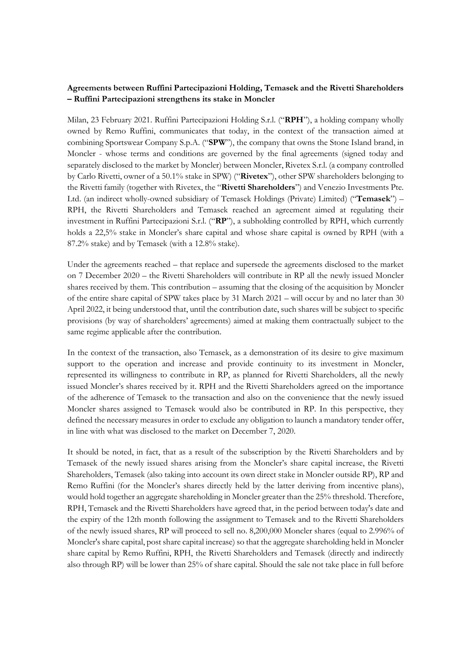## **Agreements between Ruffini Partecipazioni Holding, Temasek and the Rivetti Shareholders – Ruffini Partecipazioni strengthens its stake in Moncler**

Milan, 23 February 2021. Ruffini Partecipazioni Holding S.r.l. ("**RPH**"), a holding company wholly owned by Remo Ruffini, communicates that today, in the context of the transaction aimed at combining Sportswear Company S.p.A. ("**SPW**"), the company that owns the Stone Island brand, in Moncler - whose terms and conditions are governed by the final agreements (signed today and separately disclosed to the market by Moncler) between Moncler, Rivetex S.r.l. (a company controlled by Carlo Rivetti, owner of a 50.1% stake in SPW) ("**Rivetex**"), other SPW shareholders belonging to the Rivetti family (together with Rivetex, the "**Rivetti Shareholders**") and Venezio Investments Pte. Ltd. (an indirect wholly-owned subsidiary of Temasek Holdings (Private) Limited) ("**Temasek**") – RPH, the Rivetti Shareholders and Temasek reached an agreement aimed at regulating their investment in Ruffini Partecipazioni S.r.l. ("**RP**"), a subholding controlled by RPH, which currently holds a 22,5% stake in Moncler's share capital and whose share capital is owned by RPH (with a 87.2% stake) and by Temasek (with a 12.8% stake).

Under the agreements reached – that replace and supersede the agreements disclosed to the market on 7 December 2020 – the Rivetti Shareholders will contribute in RP all the newly issued Moncler shares received by them. This contribution – assuming that the closing of the acquisition by Moncler of the entire share capital of SPW takes place by 31 March 2021 – will occur by and no later than 30 April 2022, it being understood that, until the contribution date, such shares will be subject to specific provisions (by way of shareholders' agreements) aimed at making them contractually subject to the same regime applicable after the contribution.

In the context of the transaction, also Temasek, as a demonstration of its desire to give maximum support to the operation and increase and provide continuity to its investment in Moncler, represented its willingness to contribute in RP, as planned for Rivetti Shareholders, all the newly issued Moncler's shares received by it. RPH and the Rivetti Shareholders agreed on the importance of the adherence of Temasek to the transaction and also on the convenience that the newly issued Moncler shares assigned to Temasek would also be contributed in RP. In this perspective, they defined the necessary measures in order to exclude any obligation to launch a mandatory tender offer, in line with what was disclosed to the market on December 7, 2020.

It should be noted, in fact, that as a result of the subscription by the Rivetti Shareholders and by Temasek of the newly issued shares arising from the Moncler's share capital increase, the Rivetti Shareholders, Temasek (also taking into account its own direct stake in Moncler outside RP), RP and Remo Ruffini (for the Moncler's shares directly held by the latter deriving from incentive plans), would hold together an aggregate shareholding in Moncler greater than the 25% threshold. Therefore, RPH, Temasek and the Rivetti Shareholders have agreed that, in the period between today's date and the expiry of the 12th month following the assignment to Temasek and to the Rivetti Shareholders of the newly issued shares, RP will proceed to sell no. 8,200,000 Moncler shares (equal to 2.996% of Moncler's share capital, post share capital increase) so that the aggregate shareholding held in Moncler share capital by Remo Ruffini, RPH, the Rivetti Shareholders and Temasek (directly and indirectly also through RP) will be lower than 25% of share capital. Should the sale not take place in full before